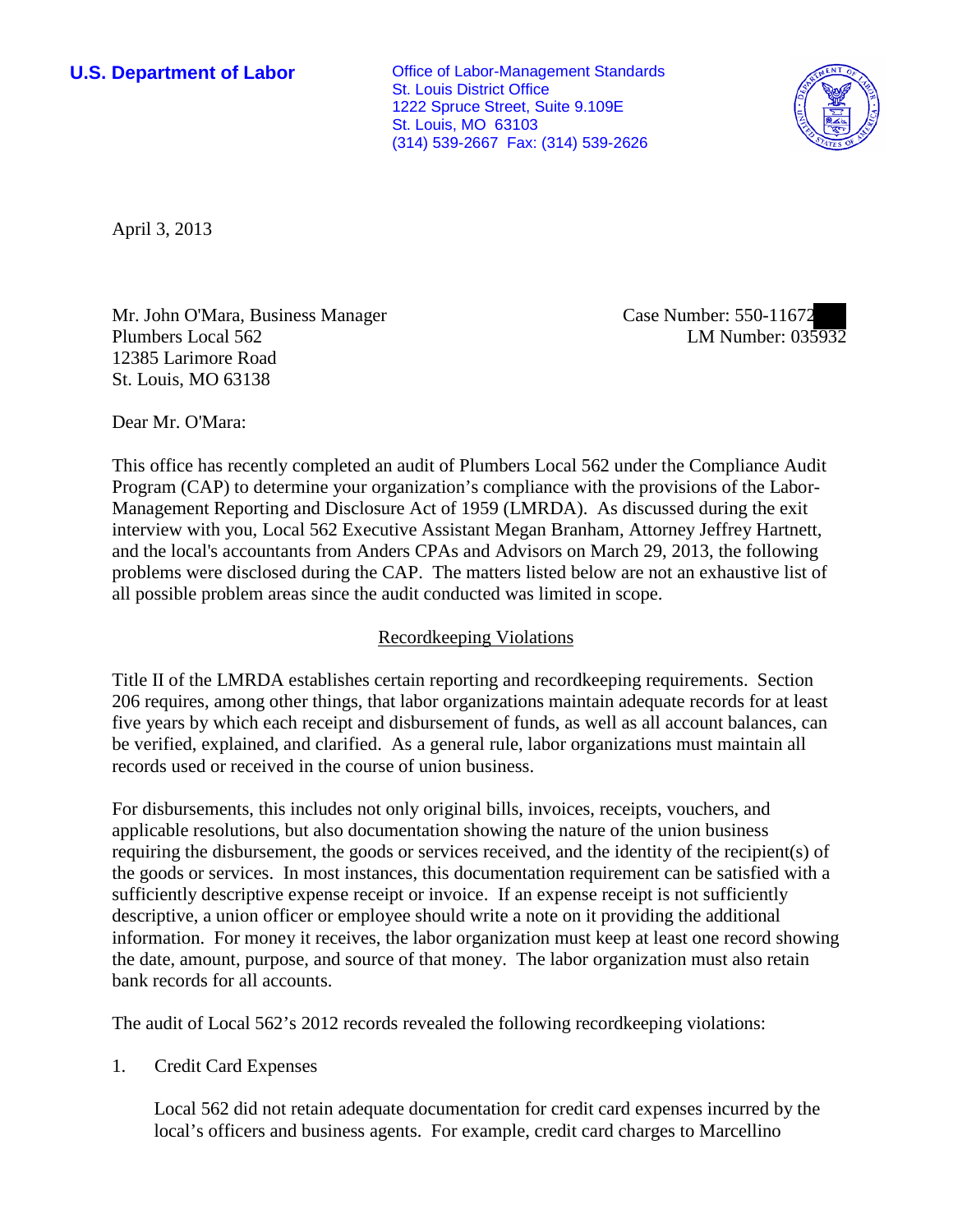**U.S. Department of Labor Office of Labor-Management Standards** St. Louis District Office 1222 Spruce Street, Suite 9.109E St. Louis, MO 63103 (314) 539-2667 Fax: (314) 539-2626



April 3, 2013

Mr. John O'Mara, Business Manager Plumbers Local 562 12385 Larimore Road St. Louis, MO 63138

Case Number: 550-11672 LM Number: 035932

Dear Mr. O'Mara:

This office has recently completed an audit of Plumbers Local 562 under the Compliance Audit Program (CAP) to determine your organization's compliance with the provisions of the Labor-Management Reporting and Disclosure Act of 1959 (LMRDA). As discussed during the exit interview with you, Local 562 Executive Assistant Megan Branham, Attorney Jeffrey Hartnett, and the local's accountants from Anders CPAs and Advisors on March 29, 2013, the following problems were disclosed during the CAP. The matters listed below are not an exhaustive list of all possible problem areas since the audit conducted was limited in scope.

# Recordkeeping Violations

Title II of the LMRDA establishes certain reporting and recordkeeping requirements. Section 206 requires, among other things, that labor organizations maintain adequate records for at least five years by which each receipt and disbursement of funds, as well as all account balances, can be verified, explained, and clarified. As a general rule, labor organizations must maintain all records used or received in the course of union business.

For disbursements, this includes not only original bills, invoices, receipts, vouchers, and applicable resolutions, but also documentation showing the nature of the union business requiring the disbursement, the goods or services received, and the identity of the recipient(s) of the goods or services. In most instances, this documentation requirement can be satisfied with a sufficiently descriptive expense receipt or invoice. If an expense receipt is not sufficiently descriptive, a union officer or employee should write a note on it providing the additional information. For money it receives, the labor organization must keep at least one record showing the date, amount, purpose, and source of that money. The labor organization must also retain bank records for all accounts.

The audit of Local 562's 2012 records revealed the following recordkeeping violations:

1. Credit Card Expenses

Local 562 did not retain adequate documentation for credit card expenses incurred by the local's officers and business agents. For example, credit card charges to Marcellino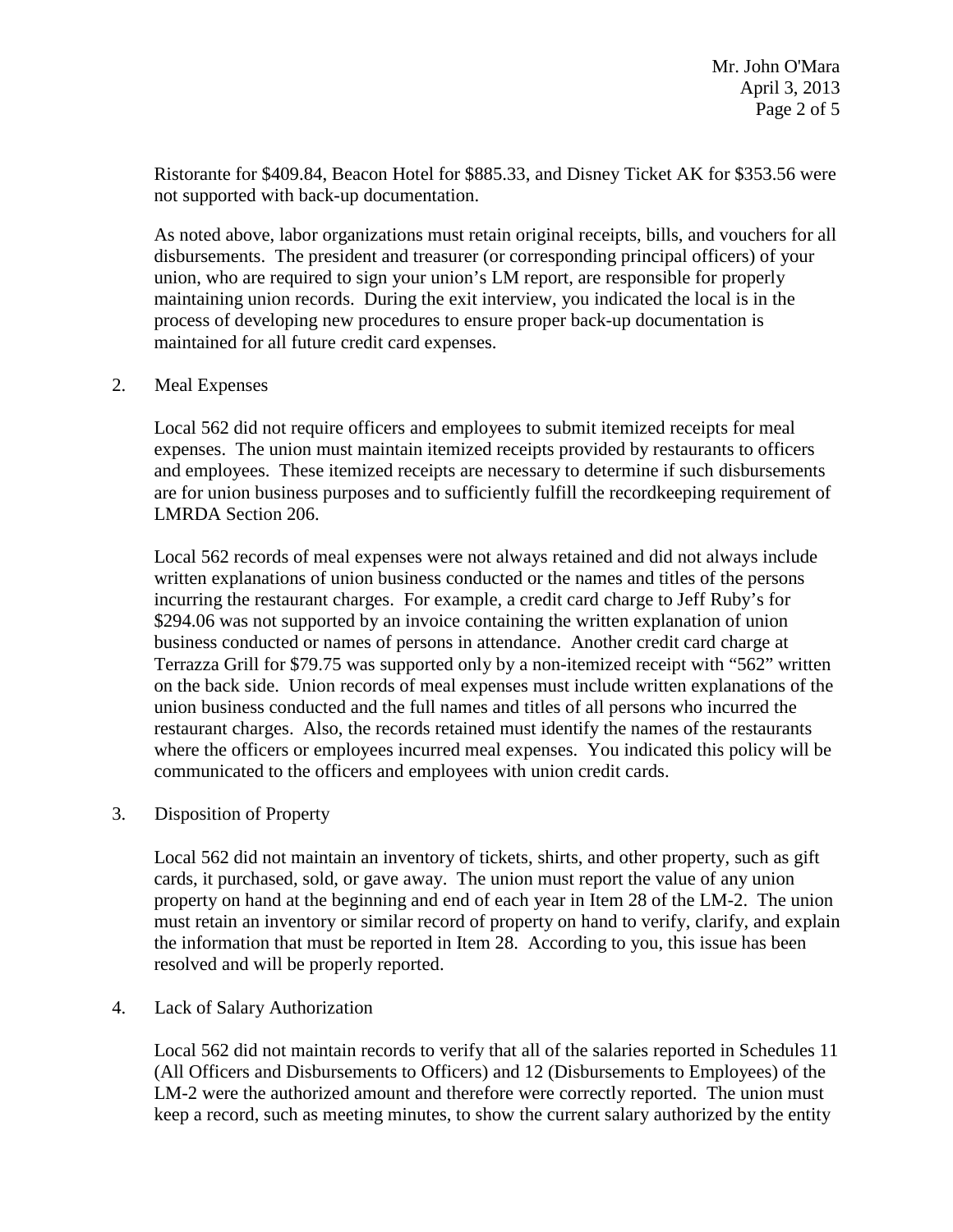Ristorante for \$409.84, Beacon Hotel for \$885.33, and Disney Ticket AK for \$353.56 were not supported with back-up documentation.

As noted above, labor organizations must retain original receipts, bills, and vouchers for all disbursements. The president and treasurer (or corresponding principal officers) of your union, who are required to sign your union's LM report, are responsible for properly maintaining union records. During the exit interview, you indicated the local is in the process of developing new procedures to ensure proper back-up documentation is maintained for all future credit card expenses.

### 2. Meal Expenses

Local 562 did not require officers and employees to submit itemized receipts for meal expenses. The union must maintain itemized receipts provided by restaurants to officers and employees. These itemized receipts are necessary to determine if such disbursements are for union business purposes and to sufficiently fulfill the recordkeeping requirement of LMRDA Section 206.

Local 562 records of meal expenses were not always retained and did not always include written explanations of union business conducted or the names and titles of the persons incurring the restaurant charges. For example, a credit card charge to Jeff Ruby's for \$294.06 was not supported by an invoice containing the written explanation of union business conducted or names of persons in attendance. Another credit card charge at Terrazza Grill for \$79.75 was supported only by a non-itemized receipt with "562" written on the back side. Union records of meal expenses must include written explanations of the union business conducted and the full names and titles of all persons who incurred the restaurant charges. Also, the records retained must identify the names of the restaurants where the officers or employees incurred meal expenses. You indicated this policy will be communicated to the officers and employees with union credit cards.

# 3. Disposition of Property

Local 562 did not maintain an inventory of tickets, shirts, and other property, such as gift cards, it purchased, sold, or gave away. The union must report the value of any union property on hand at the beginning and end of each year in Item 28 of the LM-2. The union must retain an inventory or similar record of property on hand to verify, clarify, and explain the information that must be reported in Item 28. According to you, this issue has been resolved and will be properly reported.

#### 4. Lack of Salary Authorization

Local 562 did not maintain records to verify that all of the salaries reported in Schedules 11 (All Officers and Disbursements to Officers) and 12 (Disbursements to Employees) of the LM-2 were the authorized amount and therefore were correctly reported. The union must keep a record, such as meeting minutes, to show the current salary authorized by the entity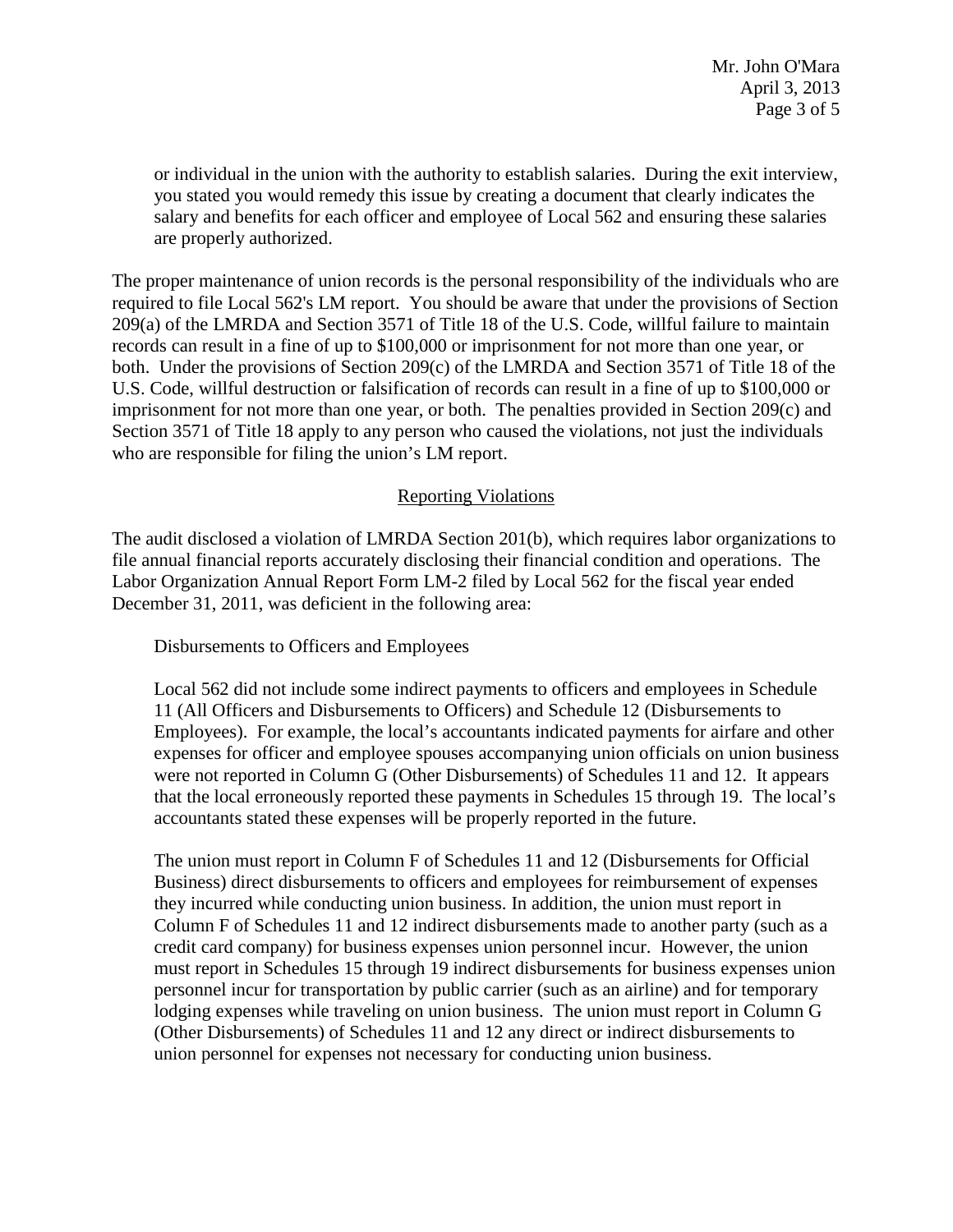or individual in the union with the authority to establish salaries. During the exit interview, you stated you would remedy this issue by creating a document that clearly indicates the salary and benefits for each officer and employee of Local 562 and ensuring these salaries are properly authorized.

The proper maintenance of union records is the personal responsibility of the individuals who are required to file Local 562's LM report. You should be aware that under the provisions of Section 209(a) of the LMRDA and Section 3571 of Title 18 of the U.S. Code, willful failure to maintain records can result in a fine of up to \$100,000 or imprisonment for not more than one year, or both. Under the provisions of Section 209(c) of the LMRDA and Section 3571 of Title 18 of the U.S. Code, willful destruction or falsification of records can result in a fine of up to \$100,000 or imprisonment for not more than one year, or both. The penalties provided in Section 209(c) and Section 3571 of Title 18 apply to any person who caused the violations, not just the individuals who are responsible for filing the union's LM report.

# Reporting Violations

The audit disclosed a violation of LMRDA Section 201(b), which requires labor organizations to file annual financial reports accurately disclosing their financial condition and operations. The Labor Organization Annual Report Form LM-2 filed by Local 562 for the fiscal year ended December 31, 2011, was deficient in the following area:

Disbursements to Officers and Employees

Local 562 did not include some indirect payments to officers and employees in Schedule 11 (All Officers and Disbursements to Officers) and Schedule 12 (Disbursements to Employees). For example, the local's accountants indicated payments for airfare and other expenses for officer and employee spouses accompanying union officials on union business were not reported in Column G (Other Disbursements) of Schedules 11 and 12. It appears that the local erroneously reported these payments in Schedules 15 through 19. The local's accountants stated these expenses will be properly reported in the future.

The union must report in Column F of Schedules 11 and 12 (Disbursements for Official Business) direct disbursements to officers and employees for reimbursement of expenses they incurred while conducting union business. In addition, the union must report in Column F of Schedules 11 and 12 indirect disbursements made to another party (such as a credit card company) for business expenses union personnel incur. However, the union must report in Schedules 15 through 19 indirect disbursements for business expenses union personnel incur for transportation by public carrier (such as an airline) and for temporary lodging expenses while traveling on union business. The union must report in Column G (Other Disbursements) of Schedules 11 and 12 any direct or indirect disbursements to union personnel for expenses not necessary for conducting union business.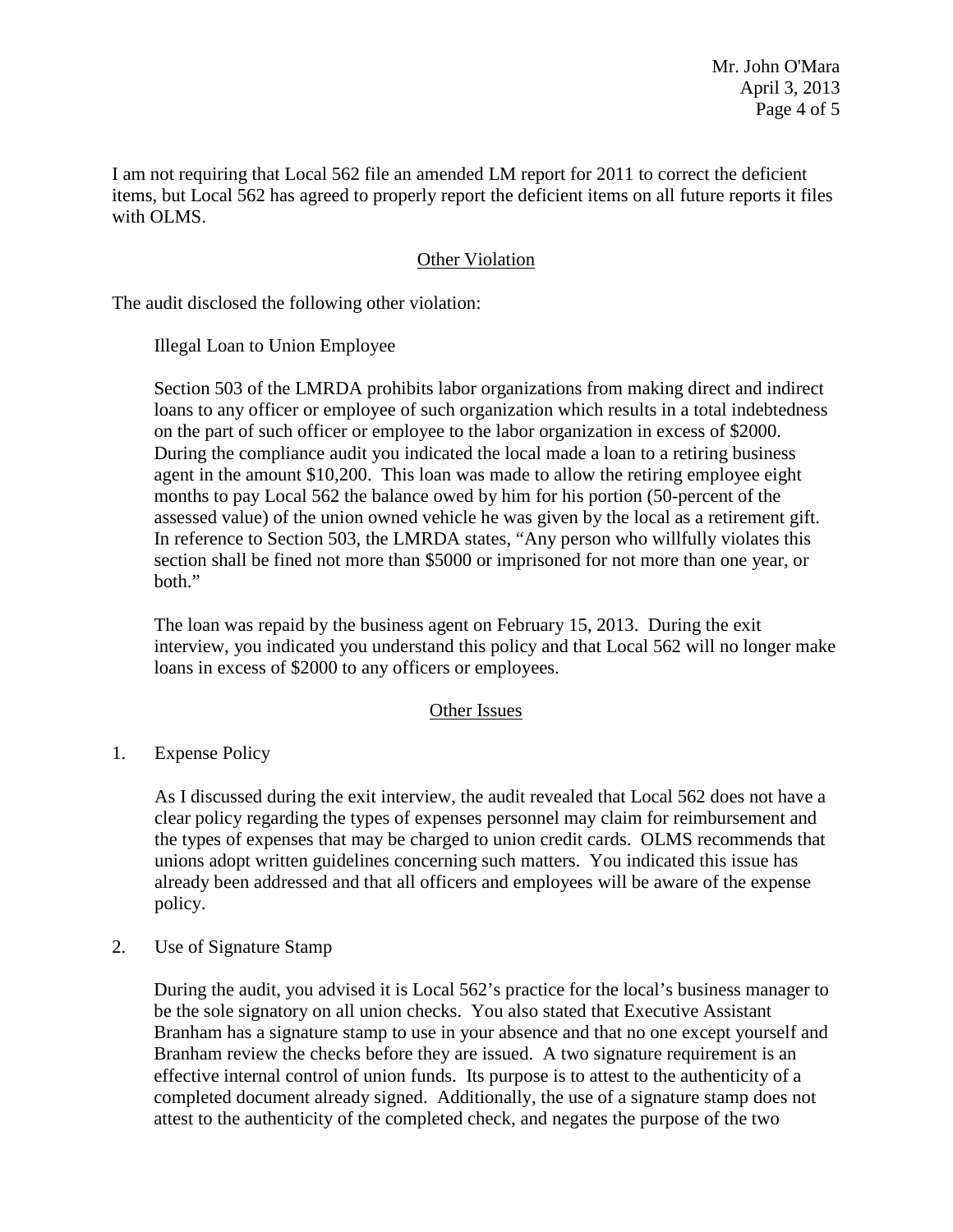I am not requiring that Local 562 file an amended LM report for 2011 to correct the deficient items, but Local 562 has agreed to properly report the deficient items on all future reports it files with OLMS.

### Other Violation

The audit disclosed the following other violation:

Illegal Loan to Union Employee

Section 503 of the LMRDA prohibits labor organizations from making direct and indirect loans to any officer or employee of such organization which results in a total indebtedness on the part of such officer or employee to the labor organization in excess of \$2000. During the compliance audit you indicated the local made a loan to a retiring business agent in the amount \$10,200. This loan was made to allow the retiring employee eight months to pay Local 562 the balance owed by him for his portion (50-percent of the assessed value) of the union owned vehicle he was given by the local as a retirement gift. In reference to Section 503, the LMRDA states, "Any person who willfully violates this section shall be fined not more than \$5000 or imprisoned for not more than one year, or both."

The loan was repaid by the business agent on February 15, 2013. During the exit interview, you indicated you understand this policy and that Local 562 will no longer make loans in excess of \$2000 to any officers or employees.

#### Other Issues

1. Expense Policy

As I discussed during the exit interview, the audit revealed that Local 562 does not have a clear policy regarding the types of expenses personnel may claim for reimbursement and the types of expenses that may be charged to union credit cards. OLMS recommends that unions adopt written guidelines concerning such matters. You indicated this issue has already been addressed and that all officers and employees will be aware of the expense policy.

2. Use of Signature Stamp

During the audit, you advised it is Local 562's practice for the local's business manager to be the sole signatory on all union checks. You also stated that Executive Assistant Branham has a signature stamp to use in your absence and that no one except yourself and Branham review the checks before they are issued. A two signature requirement is an effective internal control of union funds. Its purpose is to attest to the authenticity of a completed document already signed. Additionally, the use of a signature stamp does not attest to the authenticity of the completed check, and negates the purpose of the two